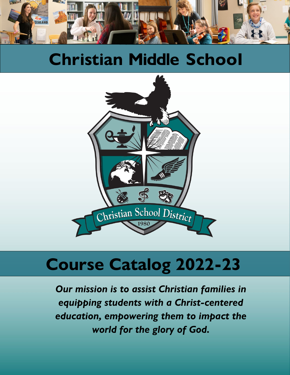

# **Christian Middle School**



# **Course Catalog 2022-23**

*Our mission is to assist Christian families in equipping students with a Christ-centered education, empowering them to impact the world for the glory of God.*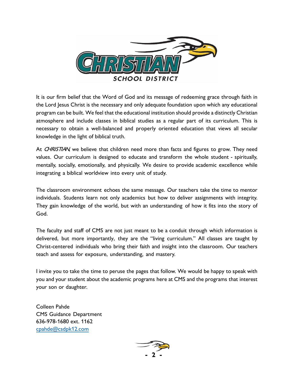

It is our firm belief that the Word of God and its message of redeeming grace through faith in the Lord Jesus Christ is the necessary and only adequate foundation upon which any educational program can be built. We feel that the educational institution should provide a distinctly Christian atmosphere and include classes in biblical studies as a regular part of its curriculum. This is necessary to obtain a well-balanced and properly oriented education that views all secular knowledge in the light of biblical truth.

At CHRISTIAN, we believe that children need more than facts and figures to grow. They need values. Our curriculum is designed to educate and transform the whole student - spiritually, mentally, socially, emotionally, and physically. We desire to provide academic excellence while integrating a biblical worldview into every unit of study.

The classroom environment echoes the same message. Our teachers take the time to mentor individuals. Students learn not only academics but how to deliver assignments with integrity. They gain knowledge of the world, but with an understanding of how it fits into the story of God.

The faculty and staff of CMS are not just meant to be a conduit through which information is delivered, but more importantly, they are the "living curriculum." All classes are taught by Christ-centered individuals who bring their faith and insight into the classroom. Our teachers teach and assess for exposure, understanding, and mastery.

I invite you to take the time to peruse the pages that follow. We would be happy to speak with you and your student about the academic programs here at CMS and the programs that interest your son or daughter.

Colleen Pahde CMS Guidance Department 636-978-1680 ext. 1162 [cpahde@csdpk12.com](mailto:cpahde@csdpk12.com)

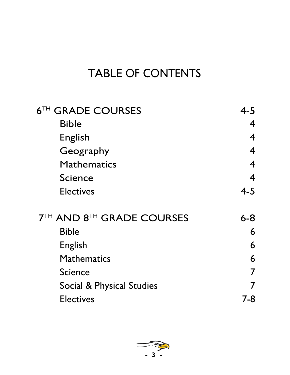## TABLE OF CONTENTS

| <b>6TH GRADE COURSES</b>         | $4 - 5$                  |
|----------------------------------|--------------------------|
| <b>Bible</b>                     | $\boldsymbol{4}$         |
| English                          | $\boldsymbol{4}$         |
| Geography                        | $\boldsymbol{4}$         |
| <b>Mathematics</b>               | $\boldsymbol{4}$         |
| <b>Science</b>                   | $\overline{\mathcal{A}}$ |
| <b>Electives</b>                 | $4 - 5$                  |
| <b>7TH AND 8TH GRADE COURSES</b> | $6 - 8$                  |
| <b>Bible</b>                     | 6                        |
| <b>English</b>                   | 6                        |
| <b>Mathematics</b>               | 6                        |
| <b>Science</b>                   | 7                        |
| Social & Physical Studies        | 7                        |
| <b>Electives</b>                 | 7-8                      |
|                                  |                          |

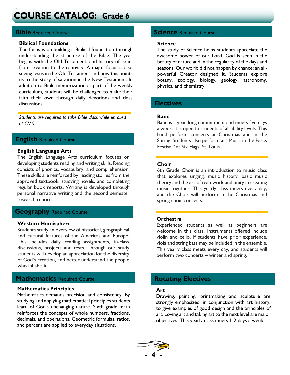## **COURSE CATALOG: Grade 6**

#### **Biblical Foundations**

. understanding the structure of the Bible. The year The focus is on building a Biblical foundation through begins with the Old Testament, and history of Israel from creation to the captivity. A major focus is also seeing lesus in the Old Testament and how this points us to the story of salvation in the New Testament. In addition to Bible memorization as part of the weekly curriculum, students will be challenged to make their faith their own through daily devotions and class discussions.

*Students are required to take Bible class while enrolled at CMS.*

#### **English** Required Course

#### **English Language Arts**

The English Language Arts curriculum focuses on developing students reading and writing skills. Reading consists of phonics, vocabulary, and comprehension. These skills are reinforced by reading stories from the approved textbook, studying novels, and completing regular book reports. Writing is developed through personal narrative writing and the second semester research report.

#### **Geography** Required Course

#### **Western Hemisphere**

Students study an overview of historical, geographical and cultural features of the Americas and Europe. This includes daily reading assignments, in-class discussions, projects and tests. Through our study students will develop an appreciation for the diversity of God's creation, and better understand the people who inhabit it.

### **Mathematics** Required Course **Rotating Electives**

#### **Mathematics Principles**

Mathematics demands precision and consistency. By studying and applying mathematical principles students learn of God's unchanging nature. Sixth grade math reinforces the concepts of whole numbers, fractions, decimals, and operations. Geometric formulas, ratios, and percent are applied to everyday situations.

#### **Bible** Required Course **Science** Required Course

#### **Science**

The study of Science helps students appreciate the awesome power of our Lord. God is seen in the beauty of nature and in the regularity of the days and seasons. Our world did not happen by chance; an allpowerful Creator designed it. Students explore botany, zoology, biology, geology, astronomy, physics, and chemistry.

#### **Electives**

#### **Band**

Band is a year-long commitment and meets five days a week. It is open to students of all ability levels. This band perform concerts at Christmas and in the Spring. Students also perform at "Music in the Parks Festival" at Six Flags, St. Louis.

#### **Choir**

6th Grade Choir is an introduction to music class that explores singing, music history, basic music theory and the art of teamwork and unity in creating music together. This yearly class meets every day, and the Choir will perform in the Christmas and spring choir concerts.

#### **Orchestra**

Experienced students as well as beginners are welcome in this class. Instruments offered include violin and cello. If students have prior experience, viola and string bass may be included in the ensemble. This yearly class meets every day, and students will perform two concerts – winter and spring.

#### **Art**

Drawing, painting, printmaking and sculpture are strongly emphasized, in conjunction with art history, to give examples of good design and the principles of art. Loving art and taking art to the next level are major objectives. This yearly class meets 1-2 days a week.

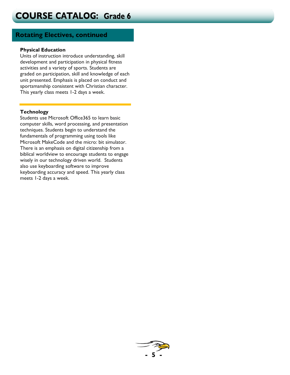### **Rotating Electives, continued**

#### **Physical Education**

Units of instruction introduce understanding, skill development and participation in physical fitness activities and a variety of sports. Students are graded on participation, skill and knowledge of each unit presented. Emphasis is placed on conduct and sportsmanship consistent with Christian character. This yearly class meets 1-2 days a week.

#### **Technology**

Students use Microsoft Office365 to learn basic computer skills, word processing, and presentation techniques. Students begin to understand the fundamentals of programming using tools like Microsoft MakeCode and the micro: bit simulator. There is an emphasis on digital citizenship from a biblical worldview to encourage students to engage wisely in our technology driven world. Students also use keyboarding software to improve keyboarding accuracy and speed. This yearly class meets 1-2 days a week.

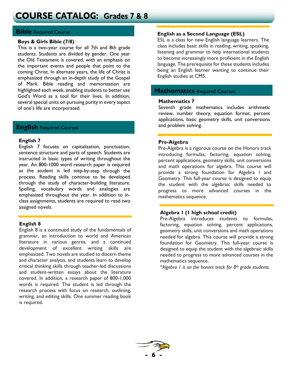## **COURSE CATALOG: Grades 7 & 8**

#### **Bible** Required Course

#### **Boys & Girls Bible (7/8)**

This is a two-year course for all 7th and 8th grade students. Students are divided by gender. One year the Old Testament is covered, with an emphasis on the important events and people that point to the coming Christ. In alternate years, the life of Christ is emphasized through an in-depth study of the Gospel of Mark. Bible reading and memorization are highlighted each week, enabling students to better use God's Word as a tool for their lives. In addition, several special units on pursuing purity in every aspect of one's life are incorporated.

#### **English** Required Courses

#### **English 7**

English 7 focuses on capitalization, punctuation, sentence structure and parts of speech. Students are instructed in basic types of writing throughout the year. An 800-1000 word research paper is required as the student is led step-by-step through the process. Reading skills continue to be developed through the study of character-building literature. Spelling, vocabulary words and analogies are emphasized throughout the year. In addition to inclass assignments, students are required to read two assigned novels.

#### **English 8**

English 8 is a continued study of the fundamentals of grammar, an introduction to world and American literature in various genres, and a continued development of excellent writing skills are emphasized. Two novels are studied to discern theme and character analysis, and students learn to develop critical thinking skills through teacher-led discussions and student-written essays about the literature covered. In addition, a research paper of 800-1,000 words is required. The student is led through the research process with focus on research, outlining, writing, and editing skills. One summer reading book is required.

#### **English as a Second Language (ESL)**

ESL is a class for new English language learners. The class includes basic skills in reading, writing, speaking, listening and grammar to help international students to become increasingly more proficient in the English language. The prerequisite for these students includes being an English learner wanting to continue their English studies at CMS.

#### **Mathematics** Required Courses

#### **Mathematics 7**

Seventh grade mathematics includes arithmetic review, number theory, equation format, percent applications, basic geometry skills, unit conversions and problem solving.

#### **Pre-Algebra**

Pre-Algebra is a rigorous course on the Honors track introducing formulas, factoring, equation solving, percent applications, geometry skills, unit conversions and math operations for algebra. This course will provide a strong foundation for Algebra I and Geometry. This full-year course is designed to equip the student with the algebraic skills needed to progress to more advanced courses in the mathematics sequence.

#### **Algebra 1 (1 high school credit)**

Pre-Algebra introduces students to formulas, factoring, equation solving, percent applications, geometry skills, unit conversions and math operations needed for algebra. This course will provide a strong foundation for Geometry. This full-year course is designed to equip the student with the algebraic skills needed to progress to more advanced courses in the mathematics sequence.

\**Algebra 1 is on the honors track for 8th grade students.*

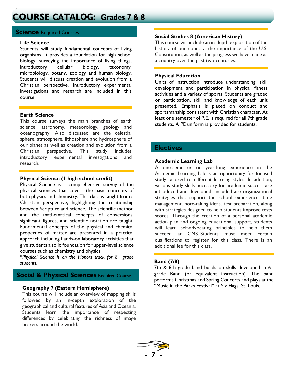#### **Science** Required Courses

#### **Life Science**

Students will study fundamental concepts of living organisms. It provides a foundation for high school biology, surveying the importance of living things, introductory cellular biology, taxonomy, microbiology, botany, zoology and human biology. Students will discuss creation and evolution from a Christian perspective. Introductory experimental investigations and research are included in this course.

#### **Earth Science**

This course surveys the main branches of earth science; astronomy, meteorology, geology and oceanography. Also discussed are the celestial sphere, atmosphere, lithosphere and hydrosphere of our planet as well as creation and evolution from a Christian perspective. This study includes introductory experimental investigations and research.

#### **Physical Science (1 high school credit)**

Physical Science is a comprehensive survey of the physical sciences that covers the basic concepts of both physics and chemistry. This class is taught from a Christian perspective, highlighting the relationship between Scripture and science. The scientific method and the mathematical concepts of conversions, significant figures, and scientific notation are taught. Fundamental concepts of the physical and chemical properties of matter are presented in a practical approach including hands-on laboratory activities that give students a solid foundation for upper-level science courses such as chemistry and physics.

*\*Physical Science is on the Honors track for 8th grade students.*

### **Social & Physical Sciences** Required Course

#### **Geography 7 (Eastern Hemisphere)**

This course will include an overview of mapping skills followed by an in-depth exploration of the geographical and cultural features of Asia and Oceania. Students learn the importance of respecting differences by celebrating the richness of image bearers around the world.

#### **Social Studies 8 (American History)**

This course will include an in-depth exploration of the history of our country, the importance of the U.S. Constitution, as well as the progress we have made as a country over the past two centuries.

#### **Physical Education**

Units of instruction introduce understanding, skill development and participation in physical fitness activities and a variety of sports. Students are graded on participation, skill and knowledge of each unit presented. Emphasis is placed on conduct and sportsmanship consistent with Christian character. At least one semester of P.E. is required for all 7th grade students. A PE uniform is provided for students.

#### **Electives**

#### **Academic Learning Lab**

A one-semester or year-long experience in the Academic Learning Lab is an opportunity for focused study tailored to different learning styles. In addition, various study skills necessary for academic success are introduced and developed. Included are organizational strategies that support the school experience, time management, note-taking ideas, test preparation, along with strategies designed to help students improve tests scores. Through the creation of a personal academic action plan and ongoing educational support, students will learn self-advocating principles to help them succeed at CMS. Students must meet certain qualifications to register for this class. There is an additional fee for this class.

#### **Band (7/8)**

7th & 8th grade band builds on skills developed in 6th grade Band (or equivalent instruction). The band performs Christmas and Spring Concerts and plays at the "Music in the Parks Festival" at Six Flags, St. Louis.

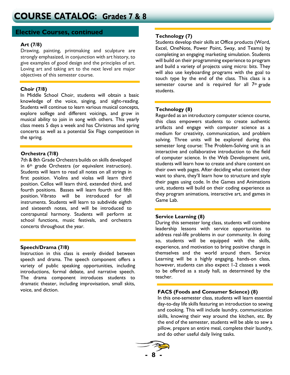#### **Elective Courses, continued**

#### **Art (7/8)**

Drawing, painting, printmaking and sculpture are strongly emphasized, in conjunction with art history, to give examples of good design and the principles of art. Loving art and taking art to the next level are major objectives of this semester course.

In Middle School Choir, students will obtain a basic knowledge of the voice, singing, and sight-reading. Students will continue to learn various musical concepts, explore solfege and different voicings, and grow in musical ability to join in song with others. This yearly class meets 5 days a week and has Christmas and spring concerts as well as a potential Six Flags competition in the spring.

#### **Orchestra (7/8)**

7th & 8th Grade Orchestra builds on skills developed in 6<sup>th</sup> grade Orchestra (or equivalent instruction). Students will learn to read all notes on all strings in first position. Violins and violas will learn third position. Cellos will learn third, extended third, and fourth positions. Basses will learn fourth and fifth position. Vibrato will be introduced for all instruments. Students will learn to subdivide eighth and sixteenth notes, and will be introduced to contrapuntal harmony. Students will perform at school functions, music festivals, and orchestra concerts throughout the year.

#### **Speech/Drama (7/8)**

Instruction in this class is evenly divided between speech and drama. The speech component offers a variety of public speaking opportunities, including introductions, formal debate, and narrative speech. The drama component introduces students to dramatic theater, including improvisation, small skits, voice, and diction.

#### **Technology (7)**

Students develop their skills at Office products (Word, Excel, OneNote, Power Point, Sway, and Teams) by completing an engaging marketing simulation. Students will build on their programming experience to program and build a variety of projects using micro: bits. They will also use keyboarding programs with the goal to touch type by the end of the class. This class is a semester course and is required for all 7<sup>th</sup> grade **Choir (7/8)**<br> **Choir (7/8)** Students.

#### **Technology (8)**

Regarded as an introductory computer science course, this class empowers students to create authentic artifacts and engage with computer science as a medium for creativity, communication, and problem solving. Three units will be explored during this semester long course: The Problem-Solving unit is an interactive and collaborative introduction to the field of computer science. In the Web Development unit, students will learn how to create and share content on their own web pages. After deciding what content they want to share, they'll learn how to structure and style their pages using code. In the Games and Animations unit, students will build on their coding experience as they program animations, interactive art, and games in Game Lab.

#### **Service Learning (8)**

During this semester long class, students will combine leadership lessons with service opportunities to address real-life problems in our community. In doing so, students will be equipped with the skills, experience, and motivation to bring positive change in themselves and the world around them. Service Learning will be a highly engaging, hands-on class, however, students can also expect 1-2 classes a week to be offered as a study hall, as determined by the teacher.

#### **FACS (Foods and Consumer Science) (8)**

In this one-semester class, students will learn essential day-to-day life skills featuring an introduction to sewing and cooking. This will include laundry, communication skills, knowing their way around the kitchen, etc. By the end of the semester, students will be able to sew a pillow, prepare an entire meal, complete their laundry, and do other useful daily living tasks.